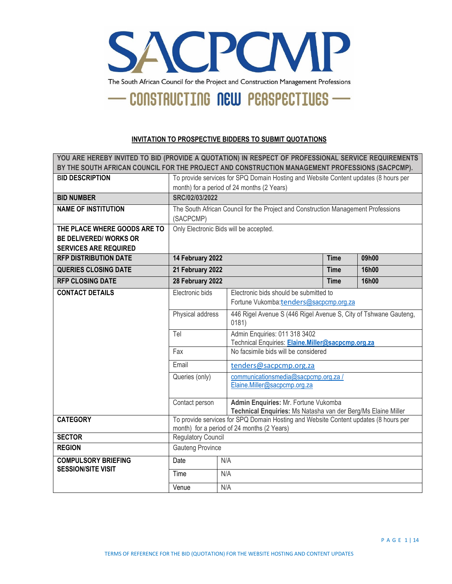

#### **INVITATION TO PROSPECTIVE BIDDERS TO SUBMIT QUOTATIONS**

**YOU ARE HEREBY INVITED TO BID (PROVIDE A QUOTATION) IN RESPECT OF PROFESSIONAL SERVICE REQUIREMENTS BY THE SOUTH AFRICAN COUNCIL FOR THE PROJECT AND CONSTRUCTION MANAGEMENT PROFESSIONS (SACPCMP). BID DESCRIPTION** To provide services for SPQ Domain Hosting and Website Content updates (8 hours per month) for a period of 24 months (2 Years) **BID NUMBER SRC/02/03/2022 NAME OF INSTITUTION** The South African Council for the Project and Construction Management Professions (SACPCMP) **THE PLACE WHERE GOODS ARE TO BE DELIVERED/ WORKS OR SERVICES ARE REQUIRED** Only Electronic Bids will be accepted. **RFP DISTRIBUTION DATE** 14 February 2022 **Time 09h00 QUERIES CLOSING DATE 21 February 2022 Time 16h00 RFP CLOSING DATE 28 February 2022 Time 16h00 CONTACT DETAILS** Electronic bids Electronic bids should be submitted to Fortune Vukomba:[tenders](mailto:tenders@sacpcmp.org.za)[@sacpcmp.org.za](mailto:tenders@sacpcmp.org.za) Physical address 446 Rigel Avenue S (446 Rigel Avenue S, City of Tshwane Gauteng, 0181) Tel Admin Enquiries: 011 318 3402 Technical Enquiries: **[Elaine.Miller@sacpcmp.org.za](mailto:Elaine.Miller@sacpcmp.org.za)** Fax No facsimile bids will be considered Email [tenders@sacpcmp.org.za](mailto:tenders@sacpcmp.org.za) Queries (only) [communicationsmedia@sacpcmp.org.za](mailto:communicationsmedia@sacpcmp.org.za) / [Elaine.Miller@sacpcmp.org.za](mailto:Elaine.Miller@sacpcmp.org.za) Contact person **Admin Enquiries:** Mr. Fortune Vukomba **Technical Enquiries:** Ms Natasha van der Berg/Ms Elaine Miller **CATEGORY** To provide services for SPQ Domain Hosting and Website Content updates (8 hours per month) for a period of 24 months (2 Years) **SECTOR** Regulatory Council **REGION Gauteng Province COMPULSORY BRIEFING SESSION/SITE VISIT** Date N/A Time N/A Venue N/A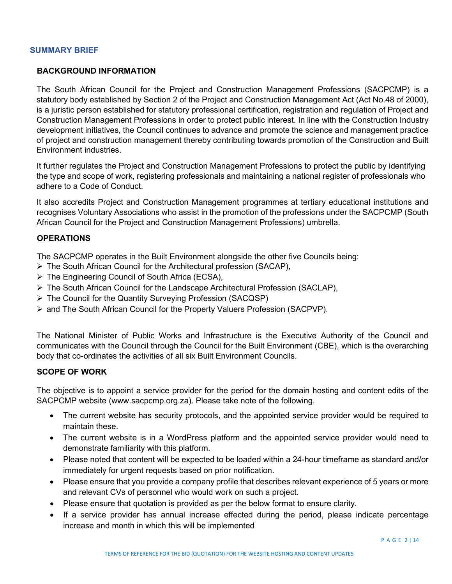# **SUMMARY BRIEF**

## **BACKGROUND INFORMATION**

The South African Council for the Project and Construction Management Professions (SACPCMP) is a statutory body established by Section 2 of the Project and Construction Management Act (Act No.48 of 2000), is a juristic person established for statutory professional certification, registration and regulation of Project and Construction Management Professions in order to protect public interest. In line with the Construction Industry development initiatives, the Council continues to advance and promote the science and management practice of project and construction management thereby contributing towards promotion of the Construction and Built Environment industries.

It further regulates the Project and Construction Management Professions to protect the public by identifying the type and scope of work, registering professionals and maintaining a national register of professionals who adhere to a Code of Conduct.

It also accredits Project and Construction Management programmes at tertiary educational institutions and recognises Voluntary Associations who assist in the promotion of the professions under the SACPCMP (South African Council for the Project and Construction Management Professions) umbrella.

#### **OPERATIONS**

The SACPCMP operates in the Built Environment alongside the other five Councils being:

- $\triangleright$  The South African Council for the Architectural profession (SACAP),
- The Engineering Council of South Africa (ECSA),
- $\triangleright$  The South African Council for the Landscape Architectural Profession (SACLAP),
- The Council for the Quantity Surveying Profession (SACQSP)
- and The South African Council for the Property Valuers Profession (SACPVP).

The National Minister of Public Works and Infrastructure is the Executive Authority of the Council and communicates with the Council through the Council for the Built Environment (CBE), which is the overarching body that co-ordinates the activities of all six Built Environment Councils.

#### **SCOPE OF WORK**

The objective is to appoint a service provider for the period for the domain hosting and content edits of the SACPCMP website (www.sacpcmp.org.za). Please take note of the following.

- The current website has security protocols, and the appointed service provider would be required to maintain these.
- The current website is in a WordPress platform and the appointed service provider would need to demonstrate familiarity with this platform.
- Please noted that content will be expected to be loaded within a 24-hour timeframe as standard and/or immediately for urgent requests based on prior notification.
- Please ensure that you provide a company profile that describes relevant experience of 5 years or more and relevant CVs of personnel who would work on such a project.
- Please ensure that quotation is provided as per the below format to ensure clarity.
- If a service provider has annual increase effected during the period, please indicate percentage increase and month in which this will be implemented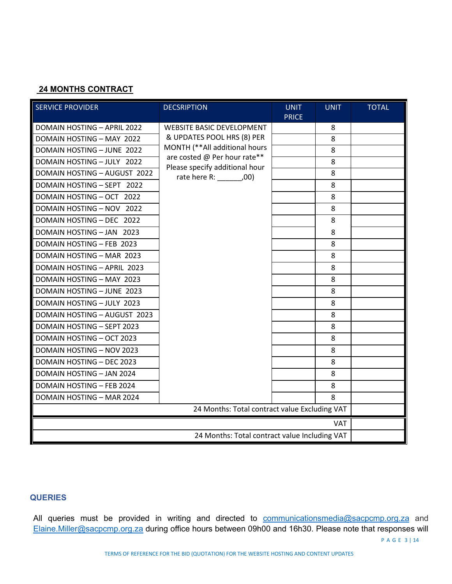# **24 MONTHS CONTRACT**

| <b>SERVICE PROVIDER</b>                       | <b>DECSRIPTION</b>                                           | <b>UNIT</b><br><b>PRICE</b> | <b>UNIT</b> | <b>TOTAL</b> |
|-----------------------------------------------|--------------------------------------------------------------|-----------------------------|-------------|--------------|
| <b>DOMAIN HOSTING - APRIL 2022</b>            | <b>WEBSITE BASIC DEVELOPMENT</b>                             |                             | 8           |              |
| DOMAIN HOSTING - MAY 2022                     | & UPDATES POOL HRS (8) PER                                   |                             | 8           |              |
| DOMAIN HOSTING - JUNE 2022                    | MONTH (**All additional hours                                |                             | 8           |              |
| DOMAIN HOSTING - JULY 2022                    | are costed @ Per hour rate**                                 |                             | 8           |              |
| <b>DOMAIN HOSTING - AUGUST 2022</b>           | Please specify additional hour<br>rate here R: _________,00) |                             | 8           |              |
| DOMAIN HOSTING - SEPT 2022                    |                                                              |                             | 8           |              |
| DOMAIN HOSTING - OCT 2022                     |                                                              |                             | 8           |              |
| DOMAIN HOSTING - NOV 2022                     |                                                              |                             | 8           |              |
| DOMAIN HOSTING - DEC 2022                     |                                                              |                             | 8           |              |
| DOMAIN HOSTING - JAN 2023                     |                                                              |                             | 8           |              |
| DOMAIN HOSTING - FEB 2023                     |                                                              |                             | 8           |              |
| DOMAIN HOSTING - MAR 2023                     |                                                              |                             | 8           |              |
| DOMAIN HOSTING - APRIL 2023                   |                                                              |                             | 8           |              |
| DOMAIN HOSTING - MAY 2023                     |                                                              |                             | 8           |              |
| <b>DOMAIN HOSTING - JUNE 2023</b>             |                                                              |                             | 8           |              |
| DOMAIN HOSTING - JULY 2023                    |                                                              |                             | 8           |              |
| DOMAIN HOSTING - AUGUST 2023                  |                                                              |                             | 8           |              |
| DOMAIN HOSTING - SEPT 2023                    |                                                              |                             | 8           |              |
| DOMAIN HOSTING - OCT 2023                     |                                                              |                             | 8           |              |
| <b>DOMAIN HOSTING - NOV 2023</b>              |                                                              |                             | 8           |              |
| <b>DOMAIN HOSTING - DEC 2023</b>              |                                                              |                             | 8           |              |
| <b>DOMAIN HOSTING - JAN 2024</b>              |                                                              |                             | 8           |              |
| <b>DOMAIN HOSTING - FEB 2024</b>              |                                                              |                             | 8           |              |
| DOMAIN HOSTING - MAR 2024                     |                                                              |                             | 8           |              |
|                                               | 24 Months: Total contract value Excluding VAT                |                             |             |              |
| <b>VAT</b>                                    |                                                              |                             |             |              |
| 24 Months: Total contract value Including VAT |                                                              |                             |             |              |

# **QUERIES**

All queries must be provided in writing and directed to **[communicationsmedia@sacpcmp.org.za](mailto:communicationsmedia@sacpcmp.org.za)** and [Elaine.Miller@sacpcmp.org.za](mailto:Elaine.Miller@sacpcmp.org.za) during office hours between 09h00 and 16h30. Please note that responses will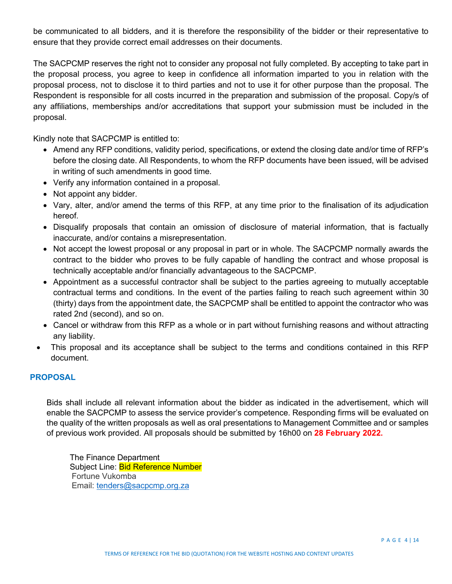be communicated to all bidders, and it is therefore the responsibility of the bidder or their representative to ensure that they provide correct email addresses on their documents.

The SACPCMP reserves the right not to consider any proposal not fully completed. By accepting to take part in the proposal process, you agree to keep in confidence all information imparted to you in relation with the proposal process, not to disclose it to third parties and not to use it for other purpose than the proposal. The Respondent is responsible for all costs incurred in the preparation and submission of the proposal. Copy/s of any affiliations, memberships and/or accreditations that support your submission must be included in the proposal.

Kindly note that SACPCMP is entitled to:

- Amend any RFP conditions, validity period, specifications, or extend the closing date and/or time of RFP's before the closing date. All Respondents, to whom the RFP documents have been issued, will be advised in writing of such amendments in good time.
- Verify any information contained in a proposal.
- Not appoint any bidder.
- Vary, alter, and/or amend the terms of this RFP, at any time prior to the finalisation of its adjudication hereof.
- Disqualify proposals that contain an omission of disclosure of material information, that is factually inaccurate, and/or contains a misrepresentation.
- Not accept the lowest proposal or any proposal in part or in whole. The SACPCMP normally awards the contract to the bidder who proves to be fully capable of handling the contract and whose proposal is technically acceptable and/or financially advantageous to the SACPCMP.
- Appointment as a successful contractor shall be subject to the parties agreeing to mutually acceptable contractual terms and conditions. In the event of the parties failing to reach such agreement within 30 (thirty) days from the appointment date, the SACPCMP shall be entitled to appoint the contractor who was rated 2nd (second), and so on.
- Cancel or withdraw from this RFP as a whole or in part without furnishing reasons and without attracting any liability.
- This proposal and its acceptance shall be subject to the terms and conditions contained in this RFP document.

### **PROPOSAL**

Bids shall include all relevant information about the bidder as indicated in the advertisement, which will enable the SACPCMP to assess the service provider's competence. Responding firms will be evaluated on the quality of the written proposals as well as oral presentations to Management Committee and or samples of previous work provided. All proposals should be submitted by 16h00 on **28 February 2022.** 

The Finance Department Subject Line: **Bid Reference Number** Fortune Vukomba Email: [tenders@sacpcmp.org.za](mailto:tenders@sacpcmp.org.za)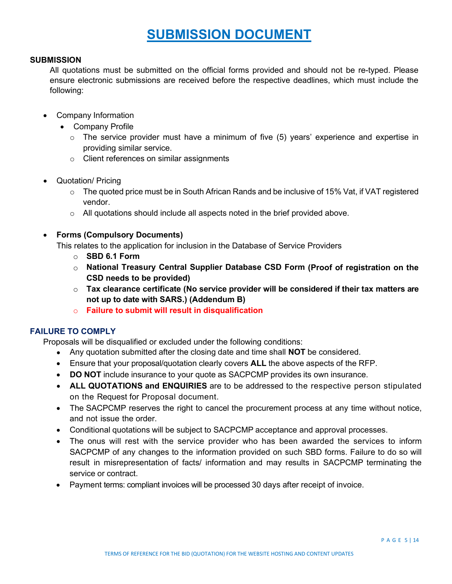# **SUBMISSION DOCUMENT**

#### **SUBMISSION**

All quotations must be submitted on the official forms provided and should not be re-typed. Please ensure electronic submissions are received before the respective deadlines, which must include the following:

- Company Information
	- Company Profile
		- $\circ$  The service provider must have a minimum of five (5) years' experience and expertise in providing similar service.
		- o Client references on similar assignments
- Quotation/ Pricing
	- $\circ$  The quoted price must be in South African Rands and be inclusive of 15% Vat, if VAT registered vendor.
	- $\circ$  All quotations should include all aspects noted in the brief provided above.
- **Forms (Compulsory Documents)**

This relates to the application for inclusion in the Database of Service Providers

- o **SBD 6.1 Form**
- o **National Treasury Central Supplier Database CSD Form (Proof of registration on the CSD needs to be provided)**
- o **Tax clearance certificate (No service provider will be considered if their tax matters are not up to date with SARS.) (Addendum B)**
- o **Failure to submit will result in disqualification**

#### **FAILURE TO COMPLY**

Proposals will be disqualified or excluded under the following conditions:

- Any quotation submitted after the closing date and time shall **NOT** be considered.
- Ensure that your proposal/quotation clearly covers **ALL** the above aspects of the RFP.
- **DO NOT** include insurance to your quote as SACPCMP provides its own insurance.
- **ALL QUOTATIONS and ENQUIRIES** are to be addressed to the respective person stipulated on the Request for Proposal document.
- The SACPCMP reserves the right to cancel the procurement process at any time without notice, and not issue the order.
- Conditional quotations will be subject to SACPCMP acceptance and approval processes.
- The onus will rest with the service provider who has been awarded the services to inform SACPCMP of any changes to the information provided on such SBD forms. Failure to do so will result in misrepresentation of facts/ information and may results in SACPCMP terminating the service or contract.
- Payment terms: compliant invoices will be processed 30 days after receipt of invoice.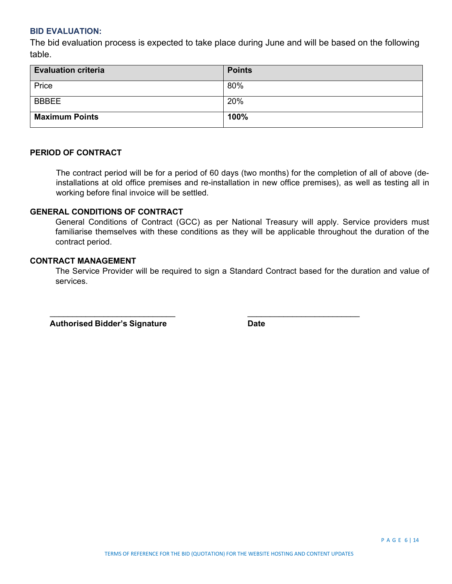### **BID EVALUATION:**

The bid evaluation process is expected to take place during June and will be based on the following table.

| <b>Evaluation criteria</b> | <b>Points</b> |
|----------------------------|---------------|
| Price                      | 80%           |
| <b>BBBEE</b>               | 20%           |
| <b>Maximum Points</b>      | 100%          |

## **PERIOD OF CONTRACT**

The contract period will be for a period of 60 days (two months) for the completion of all of above (deinstallations at old office premises and re-installation in new office premises), as well as testing all in working before final invoice will be settled.

# **GENERAL CONDITIONS OF CONTRACT**

General Conditions of Contract (GCC) as per National Treasury will apply. Service providers must familiarise themselves with these conditions as they will be applicable throughout the duration of the contract period.

# **CONTRACT MANAGEMENT**

The Service Provider will be required to sign a Standard Contract based for the duration and value of services.

 $\overline{\phantom{a}}$  ,  $\overline{\phantom{a}}$  ,  $\overline{\phantom{a}}$  ,  $\overline{\phantom{a}}$  ,  $\overline{\phantom{a}}$  ,  $\overline{\phantom{a}}$  ,  $\overline{\phantom{a}}$  ,  $\overline{\phantom{a}}$  ,  $\overline{\phantom{a}}$  ,  $\overline{\phantom{a}}$  ,  $\overline{\phantom{a}}$  ,  $\overline{\phantom{a}}$  ,  $\overline{\phantom{a}}$  ,  $\overline{\phantom{a}}$  ,  $\overline{\phantom{a}}$  ,  $\overline{\phantom{a}}$ 

 **Authorised Bidder's Signature Date**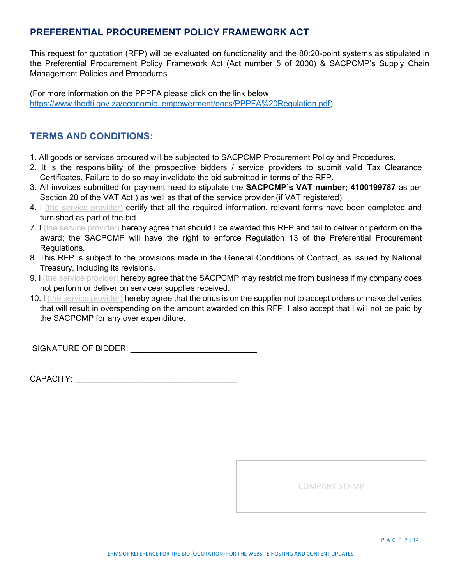# **PREFERENTIAL PROCUREMENT POLICY FRAMEWORK ACT**

This request for quotation (RFP) will be evaluated on functionality and the 80:20-point systems as stipulated in the Preferential Procurement Policy Framework Act (Act number 5 of 2000) & SACPCMP's Supply Chain Management Policies and Procedures.

(For more information on the PPPFA please click on the link below [https://www.thedti.gov.za/economic\\_empowerment/docs/PPPFA%20Regulation.pdf\)](https://www.thedti.gov.za/economic_empowerment/docs/PPPFA%20Regulation.pdf)

# **TERMS AND CONDITIONS:**

- 1. All goods or services procured will be subjected to SACPCMP Procurement Policy and Procedures.
- 2. It is the responsibility of the prospective bidders / service providers to submit valid Tax Clearance Certificates. Failure to do so may invalidate the bid submitted in terms of the RFP.
- 3. All invoices submitted for payment need to stipulate the **SACPCMP's VAT number; 4100199787** as per Section 20 of the VAT Act.) as well as that of the service provider (if VAT registered).
- 4. I (the service provider) certify that all the required information, relevant forms have been completed and furnished as part of the bid.
- 7. I (the service provider) hereby agree that should I be awarded this RFP and fail to deliver or perform on the award; the SACPCMP will have the right to enforce Regulation 13 of the Preferential Procurement Regulations.
- 8. This RFP is subject to the provisions made in the General Conditions of Contract, as issued by National Treasury, including its revisions.
- 9. I (the service provider) hereby agree that the SACPCMP may restrict me from business if my company does not perform or deliver on services/ supplies received.
- 10. I (the service provider) hereby agree that the onus is on the supplier not to accept orders or make deliveries that will result in overspending on the amount awarded on this RFP. I also accept that I will not be paid by the SACPCMP for any over expenditure.

SIGNATURE OF BIDDER: **WE are all that the set of the set of the set of the set of the set of the set of the set of the set of the set of the set of the set of the set of the set of the set of the set of the set of the set** 

CAPACITY: **Example 20** 

COMPANY STAMP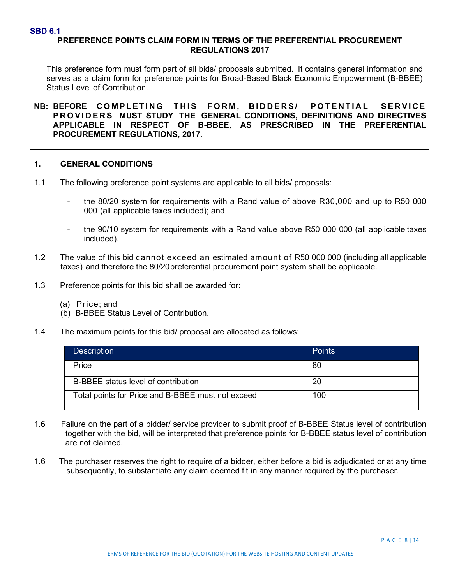#### **SBD 6.1**

# **PREFERENCE POINTS CLAIM FORM IN TERMS OF THE PREFERENTIAL PROCUREMENT REGULATIONS 2017**

This preference form must form part of all bids/ proposals submitted. It contains general information and serves as a claim form for preference points for Broad-Based Black Economic Empowerment (B-BBEE) Status Level of Contribution.

**NB: BEFORE COMPLETING THIS FORM , BIDDERS/ POTENTIAL SERVICE PROVIDERS MUST STUDY THE GENERAL CONDITIONS, DEFINITIONS AND DIRECTIVES APPLICABLE IN RESPECT OF B-BBEE, AS PRESCRIBED IN THE PREFERENTIAL PROCUREMENT REGULATIONS, 2017.**

### **1. GENERAL CONDITIONS**

- 1.1 The following preference point systems are applicable to all bids/ proposals:
	- the 80/20 system for requirements with a Rand value of above R30,000 and up to R50 000 000 (all applicable taxes included); and
	- the 90/10 system for requirements with a Rand value above R50 000 000 (all applicable taxes included).
- 1.2 The value of this bid cannot exceed an estimated amount of R50 000 000 (including all applicable taxes) and therefore the 80/20preferential procurement point system shall be applicable.
- 1.3 Preference points for this bid shall be awarded for:
	- (a) Price; and
	- (b) B-BBEE Status Level of Contribution.
- 1.4 The maximum points for this bid/ proposal are allocated as follows:

| <b>Description</b>                                | Points |
|---------------------------------------------------|--------|
| Price                                             | 80     |
| B-BBEE status level of contribution               | 20     |
| Total points for Price and B-BBEE must not exceed | 100    |

- 1.6 Failure on the part of a bidder/ service provider to submit proof of B-BBEE Status level of contribution together with the bid, will be interpreted that preference points for B-BBEE status level of contribution are not claimed.
- 1.6 The purchaser reserves the right to require of a bidder, either before a bid is adjudicated or at any time subsequently, to substantiate any claim deemed fit in any manner required by the purchaser.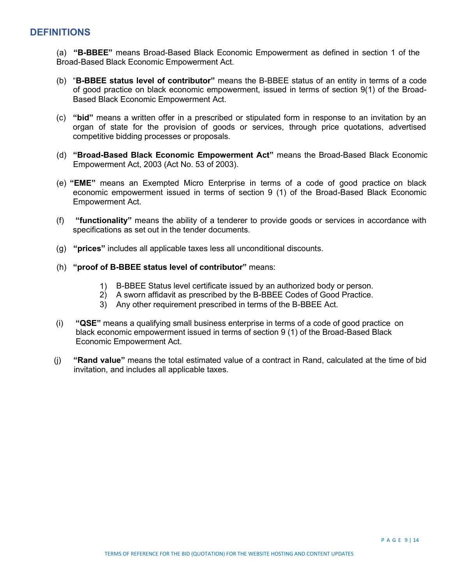# **DEFINITIONS**

(a) **"B-BBEE"** means Broad-Based Black Economic Empowerment as defined in section 1 of the Broad-Based Black Economic Empowerment Act.

- (b) "**B-BBEE status level of contributor"** means the B-BBEE status of an entity in terms of a code of good practice on black economic empowerment, issued in terms of section 9(1) of the Broad-Based Black Economic Empowerment Act.
- (c) **"bid"** means a written offer in a prescribed or stipulated form in response to an invitation by an organ of state for the provision of goods or services, through price quotations, advertised competitive bidding processes or proposals.
- (d) **"Broad-Based Black Economic Empowerment Act"** means the Broad-Based Black Economic Empowerment Act, 2003 (Act No. 53 of 2003).
- (e) **"EME"** means an Exempted Micro Enterprise in terms of a code of good practice on black economic empowerment issued in terms of section 9 (1) of the Broad-Based Black Economic Empowerment Act.
- (f) **"functionality"** means the ability of a tenderer to provide goods or services in accordance with specifications as set out in the tender documents.
- (g) **"prices"** includes all applicable taxes less all unconditional discounts.
- (h) **"proof of B-BBEE status level of contributor"** means:
	- 1) B-BBEE Status level certificate issued by an authorized body or person.
	- 2) A sworn affidavit as prescribed by the B-BBEE Codes of Good Practice.
	- 3) Any other requirement prescribed in terms of the B-BBEE Act.
- (i) **"QSE"** means a qualifying small business enterprise in terms of a code of good practice on black economic empowerment issued in terms of section 9 (1) of the Broad-Based Black Economic Empowerment Act.
- (j) **"Rand value"** means the total estimated value of a contract in Rand, calculated at the time of bid invitation, and includes all applicable taxes.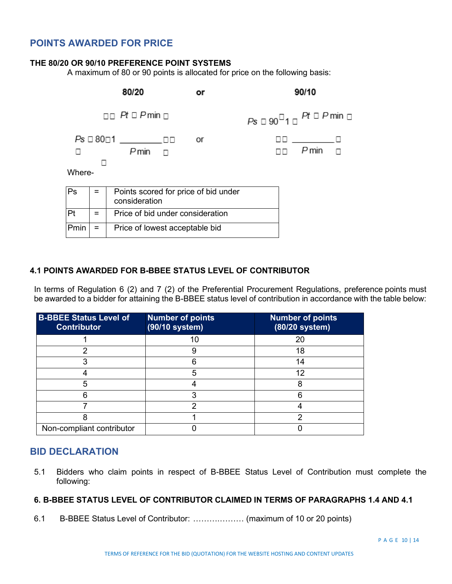# **POINTS AWARDED FOR PRICE**

### **THE 80/20 OR 90/10 PREFERENCE POINT SYSTEMS**

A maximum of 80 or 90 points is allocated for price on the following basis:

|        |     | 80/20                                                 | or |                                                  | 90/10                                |  |
|--------|-----|-------------------------------------------------------|----|--------------------------------------------------|--------------------------------------|--|
|        |     | $\Box$ Pt $\Box$ Pmin $\Box$                          |    | $Ps \Box 90^{\Box}1 \Box$ Pt $\Box$ P min $\Box$ |                                      |  |
| Where- |     | $Pmin \quad \Box$                                     | or |                                                  | 00 <u>- Ivan I</u><br>$P$ min $\Box$ |  |
| Ps     | =   | Points scored for price of bid under<br>consideration |    |                                                  |                                      |  |
| Pt     | $=$ | Price of bid under consideration                      |    |                                                  |                                      |  |
| Pmin   | Ξ   | Price of lowest acceptable bid                        |    |                                                  |                                      |  |

## **4.1 POINTS AWARDED FOR B-BBEE STATUS LEVEL OF CONTRIBUTOR**

In terms of Regulation 6 (2) and 7 (2) of the Preferential Procurement Regulations, preference points must be awarded to a bidder for attaining the B-BBEE status level of contribution in accordance with the table below:

| <b>B-BBEE Status Level of</b><br><b>Contributor</b> | <b>Number of points</b><br>(90/10 system) | <b>Number of points</b><br>(80/20 system) |
|-----------------------------------------------------|-------------------------------------------|-------------------------------------------|
|                                                     | 10                                        | 20                                        |
| ◠                                                   |                                           | 18                                        |
|                                                     |                                           | 14                                        |
|                                                     | 5                                         | 12                                        |
| 5                                                   |                                           | 8                                         |
|                                                     |                                           |                                           |
|                                                     | ⌒                                         |                                           |
|                                                     |                                           |                                           |
| Non-compliant contributor                           |                                           |                                           |

# **BID DECLARATION**

5.1 Bidders who claim points in respect of B-BBEE Status Level of Contribution must complete the following:

# **6. B-BBEE STATUS LEVEL OF CONTRIBUTOR CLAIMED IN TERMS OF PARAGRAPHS 1.4 AND 4.1**

6.1 B-BBEE Status Level of Contributor: ……….……… (maximum of 10 or 20 points)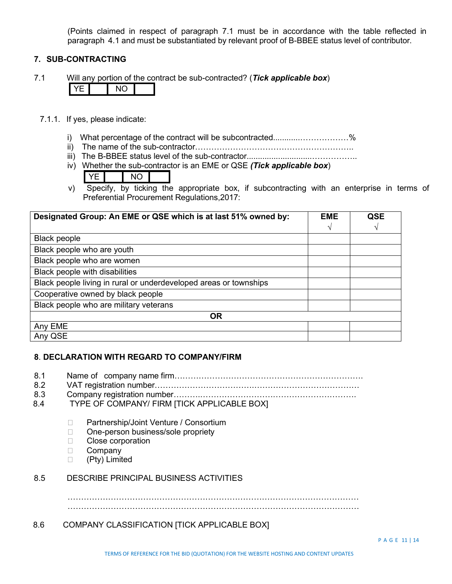(Points claimed in respect of paragraph 7.1 must be in accordance with the table reflected in paragraph 4.1 and must be substantiated by relevant proof of B-BBEE status level of contributor.

### **7. SUB-CONTRACTING**

7.1 Will any portion of the contract be sub-contracted? (*Tick applicable box*)

- 7.1.1. If yes, please indicate:
	- i) What percentage of the contract will be subcontracted..........................%
	- ii) The name of the sub-contractor…………………………………………………..
	- iii) The B-BBEE status level of the sub-contractor.............................……………..
	- iv) Whether the sub-contractor is an EME or QSE *(Tick applicable box*)
		- YE I NO
	- v) Specify, by ticking the appropriate box, if subcontracting with an enterprise in terms of Preferential Procurement Regulations,2017:

| Designated Group: An EME or QSE which is at last 51% owned by:    | <b>EME</b> | QSE |
|-------------------------------------------------------------------|------------|-----|
|                                                                   | V          | V   |
| <b>Black people</b>                                               |            |     |
| Black people who are youth                                        |            |     |
| Black people who are women                                        |            |     |
| Black people with disabilities                                    |            |     |
| Black people living in rural or underdeveloped areas or townships |            |     |
| Cooperative owned by black people                                 |            |     |
| Black people who are military veterans                            |            |     |
| <b>OR</b>                                                         |            |     |
| Any EME                                                           |            |     |
| Any QSE                                                           |            |     |

# **8**. **DECLARATION WITH REGARD TO COMPANY/FIRM**

- 8.1 Name of company name firm…………………………………………………………….
- 8.2 VAT registration number……………………………….…………………………………
- 8.3 Company registration number……….………………………………………………….
- 8.4 TYPE OF COMPANY/ FIRM [TICK APPLICABLE BOX]
	- □ Partnership/Joint Venture / Consortium
	- □ One-person business/sole propriety
	- □ Close corporation
	- D Company
	- (Pty) Limited

#### 8.5 DESCRIBE PRINCIPAL BUSINESS ACTIVITIES

………………………………………………………………………………………………

………………………………………………………………………………………………

## 8.6 COMPANY CLASSIFICATION [TICK APPLICABLE BOX]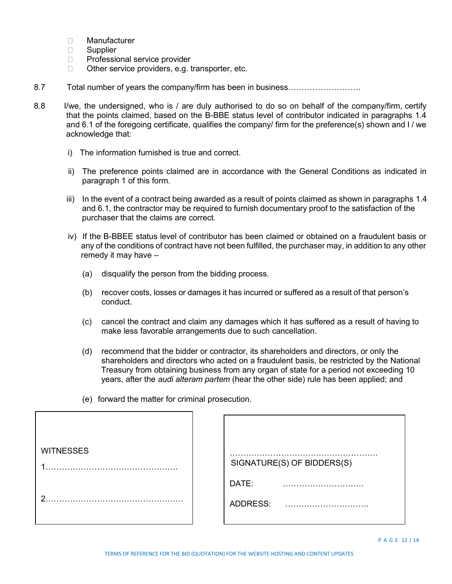- Manufacturer
- □ Supplier
- □ Professional service provider
- $\Box$  Other service providers, e.g. transporter, etc.
- 8.7 Total number of years the company/firm has been in business………………………
- 8.8 I/we, the undersigned, who is / are duly authorised to do so on behalf of the company/firm, certify that the points claimed, based on the B-BBE status level of contributor indicated in paragraphs 1.4 and 6.1 of the foregoing certificate, qualifies the company/ firm for the preference(s) shown and I / we acknowledge that:
	- i) The information furnished is true and correct.
	- ii) The preference points claimed are in accordance with the General Conditions as indicated in paragraph 1 of this form.
	- iii) In the event of a contract being awarded as a result of points claimed as shown in paragraphs 1.4 and 6.1, the contractor may be required to furnish documentary proof to the satisfaction of the purchaser that the claims are correct.
	- iv) If the B-BBEE status level of contributor has been claimed or obtained on a fraudulent basis or any of the conditions of contract have not been fulfilled, the purchaser may, in addition to any other remedy it may have –
		- (a) disqualify the person from the bidding process.
		- (b) recover costs, losses or damages it has incurred or suffered as a result of that person's conduct.
		- (c) cancel the contract and claim any damages which it has suffered as a result of having to make less favorable arrangements due to such cancellation.
		- (d) recommend that the bidder or contractor, its shareholders and directors, or only the shareholders and directors who acted on a fraudulent basis, be restricted by the National Treasury from obtaining business from any organ of state for a period not exceeding 10 years, after the *audi alteram partem* (hear the other side) rule has been applied; and
		- (e) forward the matter for criminal prosecution.

| <b>WITNESSES</b> | SIGNATURE(S) OF BIDDERS(S) |
|------------------|----------------------------|
| ◠                | DATE:<br>ADDRESS:          |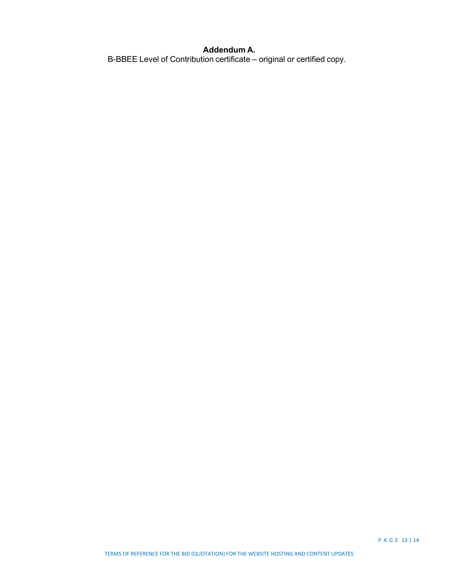## **Addendum A.**

B-BBEE Level of Contribution certificate – original or certified copy.